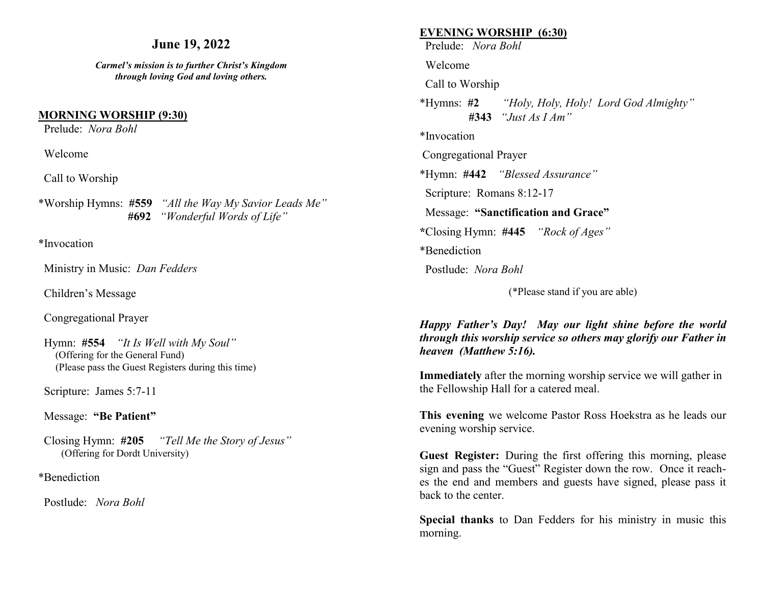## **June 19, 2022**

*Carmel's mission is to further Christ's Kingdom through loving God and loving others.*

#### **MORNING WORSHIP (9:30)**

Prelude: *Nora Bohl* 

Welcome

Call to Worship

\*Worship Hymns: **#559** *"All the Way My Savior Leads Me"* **#692** *"Wonderful Words of Life"*

\*Invocation

Ministry in Music: *Dan Fedders*

Children's Message

Congregational Prayer

 Hymn: **#554** *"It Is Well with My Soul"* (Offering for the General Fund) (Please pass the Guest Registers during this time)

Scripture: James 5:7-11

#### Message: **"Be Patient"**

 Closing Hymn: **#205** *"Tell Me the Story of Jesus"* (Offering for Dordt University)

#### \*Benediction

Postlude: *Nora Bohl*

#### **EVENING WORSHIP (6:30)**

Prelude: *Nora Bohl*

Welcome

Call to Worship

\*Hymns: **#2** *"Holy, Holy, Holy! Lord God Almighty"* **#343** *"Just As I Am"*

\*Invocation

Congregational Prayer

\*Hymn: **#442** *"Blessed Assurance"*

Scripture: Romans 8:12-17

Message: **"Sanctification and Grace"**

**\***Closing Hymn: **#445** *"Rock of Ages"* 

\*Benediction

Postlude: *Nora Bohl* 

(\*Please stand if you are able)

*Happy Father's Day! May our light shine before the world through this worship service so others may glorify our Father in heaven (Matthew 5:16).* 

**Immediately** after the morning worship service we will gather in the Fellowship Hall for a catered meal.

**This evening** we welcome Pastor Ross Hoekstra as he leads our evening worship service.

**Guest Register:** During the first offering this morning, please sign and pass the "Guest" Register down the row. Once it reaches the end and members and guests have signed, please pass it back to the center.

**Special thanks** to Dan Fedders for his ministry in music this morning.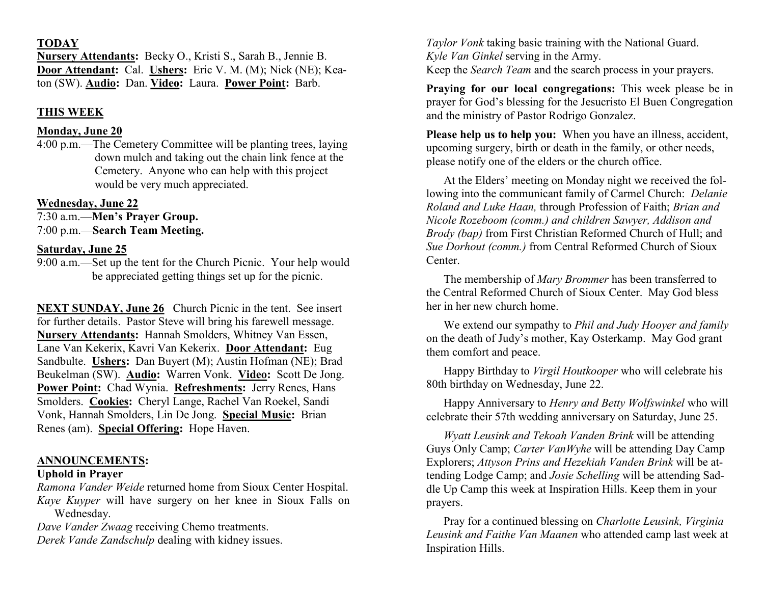#### **TODAY**

**Nursery Attendants:** Becky O., Kristi S., Sarah B., Jennie B. **Door Attendant:** Cal. **Ushers:** Eric V. M. (M); Nick (NE); Keaton (SW). **Audio:** Dan. **Video:** Laura. **Power Point:** Barb.

# **THIS WEEK**

## **Monday, June 20**

4:00 p.m.—The Cemetery Committee will be planting trees, laying down mulch and taking out the chain link fence at the Cemetery. Anyone who can help with this project would be very much appreciated.

# **Wednesday, June 22**

7:30 a.m.—**Men's Prayer Group.** 7:00 p.m.—**Search Team Meeting.**

# **Saturday, June 25**

9:00 a.m.—Set up the tent for the Church Picnic. Your help would be appreciated getting things set up for the picnic.

**NEXT SUNDAY, June 26** Church Picnic in the tent. See insert for further details. Pastor Steve will bring his farewell message. **Nursery Attendants:** Hannah Smolders, Whitney Van Essen, Lane Van Kekerix, Kavri Van Kekerix. **Door Attendant:** Eug Sandbulte. **Ushers:** Dan Buyert (M); Austin Hofman (NE); Brad Beukelman (SW). **Audio:** Warren Vonk. **Video:** Scott De Jong. **Power Point:** Chad Wynia. **Refreshments:** Jerry Renes, Hans Smolders. **Cookies:** Cheryl Lange, Rachel Van Roekel, Sandi Vonk, Hannah Smolders, Lin De Jong. **Special Music:** Brian Renes (am). **Special Offering:** Hope Haven.

# **ANNOUNCEMENTS:**

### **Uphold in Prayer**

*Ramona Vander Weide* returned home from Sioux Center Hospital. *Kaye Kuyper* will have surgery on her knee in Sioux Falls on Wednesday.

*Dave Vander Zwaag* receiving Chemo treatments. *Derek Vande Zandschulp* dealing with kidney issues.

*Taylor Vonk* taking basic training with the National Guard. *Kyle Van Ginkel* serving in the Army. Keep the *Search Team* and the search process in your prayers.

**Praying for our local congregations:** This week please be in prayer for God's blessing for the Jesucristo El Buen Congregation and the ministry of Pastor Rodrigo Gonzalez.

**Please help us to help you:** When you have an illness, accident, upcoming surgery, birth or death in the family, or other needs, please notify one of the elders or the church office.

At the Elders' meeting on Monday night we received the following into the communicant family of Carmel Church: *Delanie Roland and Luke Haan,* through Profession of Faith; *Brian and Nicole Rozeboom (comm.) and children Sawyer, Addison and Brody (bap)* from First Christian Reformed Church of Hull; and *Sue Dorhout (comm.)* from Central Reformed Church of Sioux Center.

The membership of *Mary Brommer* has been transferred to the Central Reformed Church of Sioux Center. May God bless her in her new church home.

We extend our sympathy to *Phil and Judy Hooyer and family*  on the death of Judy's mother, Kay Osterkamp. May God grant them comfort and peace.

Happy Birthday to *Virgil Houtkooper* who will celebrate his 80th birthday on Wednesday, June 22.

Happy Anniversary to *Henry and Betty Wolfswinkel* who will celebrate their 57th wedding anniversary on Saturday, June 25.

*Wyatt Leusink and Tekoah Vanden Brink* will be attending Guys Only Camp; *Carter VanWyhe* will be attending Day Camp Explorers; *Attyson Prins and Hezekiah Vanden Brink* will be attending Lodge Camp; and *Josie Schelling* will be attending Saddle Up Camp this week at Inspiration Hills. Keep them in your prayers.

Pray for a continued blessing on *Charlotte Leusink, Virginia Leusink and Faithe Van Maanen* who attended camp last week at Inspiration Hills.